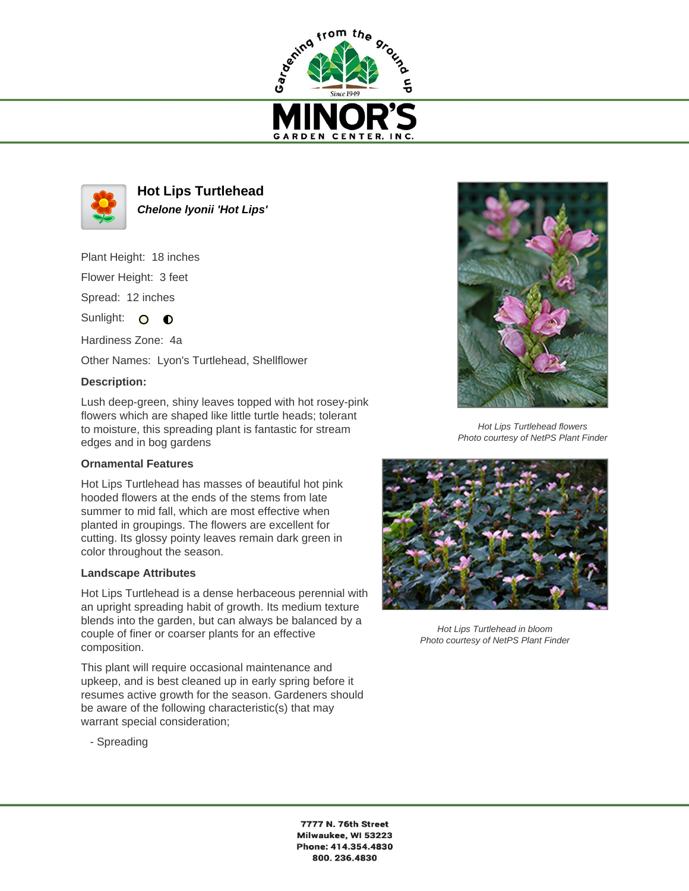



**Hot Lips Turtlehead Chelone lyonii 'Hot Lips'**

Plant Height: 18 inches Flower Height: 3 feet

Spread: 12 inches

Sunlight:  $\overline{O}$  $\bullet$ 

Hardiness Zone: 4a

Other Names: Lyon's Turtlehead, Shellflower

## **Description:**

Lush deep-green, shiny leaves topped with hot rosey-pink flowers which are shaped like little turtle heads; tolerant to moisture, this spreading plant is fantastic for stream edges and in bog gardens

## **Ornamental Features**

Hot Lips Turtlehead has masses of beautiful hot pink hooded flowers at the ends of the stems from late summer to mid fall, which are most effective when planted in groupings. The flowers are excellent for cutting. Its glossy pointy leaves remain dark green in color throughout the season.

## **Landscape Attributes**

Hot Lips Turtlehead is a dense herbaceous perennial with an upright spreading habit of growth. Its medium texture blends into the garden, but can always be balanced by a couple of finer or coarser plants for an effective composition.

This plant will require occasional maintenance and upkeep, and is best cleaned up in early spring before it resumes active growth for the season. Gardeners should be aware of the following characteristic(s) that may warrant special consideration;

- Spreading



Hot Lips Turtlehead flowers Photo courtesy of NetPS Plant Finder



Hot Lips Turtlehead in bloom Photo courtesy of NetPS Plant Finder